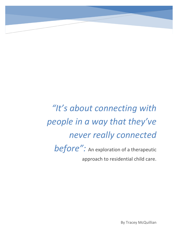*"It's about connecting with people in a way that they've never really connected*  **before":** An exploration of a therapeutic approach to residential child care.

By Tracey McQuillian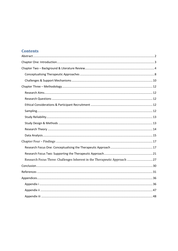# **Contents**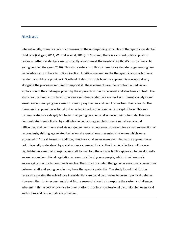## <span id="page-2-0"></span>**Abstract**

Internationally, there is a lack of consensus on the underpinning principles of therapeutic residential child care (Gilligan, 2014; Whittaker et al, 2016). In Scotland, there is a current political push to review whether residential care is currently able to meet the needs of Scotland's most vulnerable young people (Sturgeon, 2016). This study enters into this contemporary debate by generating new knowledge to contribute to policy direction. It critically examines the therapeutic approach of one residential child care provider in Scotland. It de-constructs how the approach is conceptualised, alongside the processes required to support it. These elements are then contextualised via an exploration of the challenges posed by the approach within its personal and structural context. The study featured semi-structured interviews with ten residential care workers. Thematic analysis and visual concept mapping were used to identify key themes and conclusions from the research. The therapeutic approach was found to be underpinned by the dominant concept of love. This was communicated via a deeply felt belief that young people could achieve their potentials. This was demonstrated symbolically, by staff who helped young people to create narratives around difficulties, and communicated via non-judgemental acceptance. However, for a small sub-section of respondents, shifting age related behavioural expectations presented challenges which were expressed in 'moral' terms. In addition, structural challenges were identified as the approach was not universally understood by social workers across all local authorities. A reflective culture was highlighted as essential to supporting staff to maintain the approach. This appeared to develop selfawareness and emotional regulation amongst staff and young people, whilst simultaneously encouraging practice to continually evolve. The study concluded that genuine emotional connections between staff and young people may have therapeutic potential. The study found that further research exploring the role of love in residential care could be of value to current political debates. However, the study recommends that future research should also explore the systemic challenges inherent in this aspect of practice to offer platforms for inter-professional discussion between local authorities and residential care providers.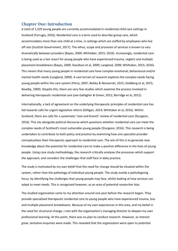## <span id="page-3-0"></span>**Chapter One: Introduction**

A total of 1,529 young people are currently accommodated in residential child care settings in Scotland (Farrugia, 2016). Residential care is a term used to describe group care, which accommodates more than one child at a time, in settings which are staffed by employees who live off-site (Scottish Government, 2017). The ethos, scope and provision of services is known to vary dramatically between providers (Bayes, 2009; Whittaker, 2015; 2016). Increasingly, residential care is being used as a last resort for young people who have experienced trauma, neglect and multiple placement breakdowns (Bayes, 2009; Davidson et al, 2009; Langland, 2009; Whittaker, 2015; 2016). This means that many young people in residential care have complex emotional, behavioural and/or mental health needs (Langland, 2009). A vast terrain of research explores the complex needs facing young people within the care system (Perry, 2007; Belsky & Nezworski, 2015; Goldberg et al, 2015; Bowlby, 1969). Despite this, there are very few studies which examine the process involved in delivering therapeutic residential care (see Gallagher & Green, 2012; Berridge et al, 2012).

Internationally, a lack of agreement on the underlying therapeutic principles of residential care has led towards calls for urgent legislative reform (Gilligan, 2014; Whittaker et al, 2016). Within Scotland, there are calls for a systematic 'root and branch' review of residential care (Sturgeon, 2016). This sits alongside political discourse which questions whether residential care can meet the complex needs of Scotland's most vulnerable young people (Sturgeon, 2016). This research is being undertaken to contribute to both policy and practice by examining how one specialist provider conceptualises their therapeutic approach to residential care. The aim of this is to generate new knowledge about the potential for residential care to make a positive difference in the lives of young people. Using case study methodology, the research critically analyses the processes which support the approach, and considers the challenges that staff face in daily practice.

The study is motivated by my own belief that the need for change should be situated within the system, rather than the pathology of individual young people. The study avoids a pathologizing focus, by identifying the challenges that young people may face, whilst looking at how services can adapt to meet needs. This is recognised however, as an area of potential researcher bias.

The studied organisation came to my attention around one year before the research began. They provide specialised therapeutic residential care to young people who have experienced trauma, loss and multiple placement breakdowns. Because of my own experiences in this area, and my belief in the need for structural change, I met with the organisation's managing director to deepen my own professional learning. At this point, there was no plan to conduct research. However, as interest grew, tentative enquiries were made. This revealed that the organisation were open to potential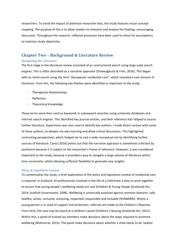researchers. To avoid the impact of potential researcher bias, the study features visual concept mapping. The purpose of this is to allow readers to interpret and analyse the findings, encouraging discussion. Throughout the research, reflexive processes have been used to check for assumptions to maintain study objectivity.

## <span id="page-4-0"></span>**Chapter Two – Background & Literature Review**

#### *Navigating the Literature*

The first stage in the literature review consisted of an unstructured search using large scale search engines. This is often described as a narrative approach (Onweugbuzie & Frels, 2016). This began with an initial search using the term 'therapeutic residential care", which revealed a vast amount of literature. From this, the following key themes were identified as important to the study:

- Therapeutic Relationships
- **Reflection**
- Theoretical Knowledge

These terms were then used as keywords in subsequent searches using university databases and internet search engines. This identified key journal articles, and their reference lists helped to source further literature. Supervision was also used to identify key authors. I made direct contact with some of these authors, to deepen my own learning and allow critical discussions. This highlighted contrasting perspectives, which helped me to cast a wide conceptual net by identifying further sources of literature. Carey (2016) points out that the narrative approach is sometimes criticised by positivism because it is subject to the researcher's frame of reference. However, it was considered important to the study, because it provided a way to navigate a large volume of literature within time constraints; whilst allowing sufficient flexibility to generate new insights.

#### *Policy & Legislative Context*

To contextualise the study, a brief exploration of the policy and legislative context of residential care is required. In Scotland, all professionals involved in the life of a child have a duty to work together to ensure that young people's wellbeing needs are met (Children & Young People (Scotland) Act, 2014; Scottish Government, 2008). Wellbeing is universally assessed against common domains: safe, healthy, active, nurtured, achieving, respected, responsible and included (SHANARRI). Where a young person is in need of support and protection, referrals are made to the Children's Reporter. From here, the case may be heard at a children's panel (Children's Hearing (Scotland) Act, 2011). Within this, a panel of trained lay members make decisions about the steps required to promote wellbeing (McKnorrie, 2013). The panel make decisions about whether a child needs to be 'looked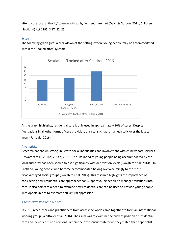after by the local authority' to ensure that his/her needs are met (Davis & Gordon, 2011; Children (Scotland) Act 1995, S.17, 22, 25).

## *Scope*

The following graph gives a breakdown of the settings where young people may be accommodated within the 'looked after' system:



As the graph highlights, residential care is only used in approximately 10% of cases. Despite fluctuations in all other forms of care provision, this statistic has remained static over the last ten years (Farrugia, 2016).

## *Inequalities*

Research has shown strong links with social inequalities and involvement with child welfare services (Bywaters et al, 2014a; 2014b; 2015). The likelihood of young people being accommodated by the local authority has been shown to rise significantly with deprivation levels (Bywaters et al, 2014a). In Scotland, young people who become accommodated belong overwhelmingly to the most disadvantaged social groups (Bywaters et al, 2015). This research highlights the importance of considering how residential care approaches can support young people to manage transitions into care. It also points to a need to examine how residential care can be used to provide young people with opportunities to overcome structural oppression.

## *Therapeutic Residential Care*

In 2016, researchers and practitioners from across the world came together to form an international working group (Whittaker et al, 2016). Their aim was to examine the current position of residential care and identify future directions. Within their consensus statement, they stated that a specialist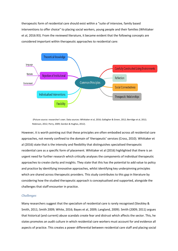therapeutic form of residential care should exist within a "suite of intensive, family based interventions to offer choice" to placing social workers, young people and their families (Whittaker et al, 2016:93). From the reviewed literature, it became evident that the following concepts are considered important within therapeutic approaches to residential care:



(Picture source: researcher's own. Data sources: Whittaker et al, 2016; Gallagher & Green, 2012; Berridge et al, 2012; Robinson, 2012; Perry, 2009; Gordon & Hughes, 2012).

However, it is worth pointing out that these principles are often embodied across all residential care approaches, not merely confined to the domain of 'therapeutic' services (Cross, 2010). Whittaker et al (2016) state that is the intensity and flexibility that distinguishes specialised therapeutic residential care as a specific form of placement. Whittaker et al (2016) highlighted that there is an urgent need for further research which critically analyses the components of individual therapeutic approaches to create clarity and insights. They state that this has the potential to add value to policy and practice by identifying innovative approaches, whilst identifying key underpinning principles which are shared across therapeutic providers. This study contributes to this gap in literature by considering how the studied therapeutic approach is conceptualised and supported, alongside the challenges that staff encounter in practice.

### *Challenges*

Many researchers suggest that the specialism of residential care is rarely recognised (Steckley & Smith, 2011; Smith 2009; White, 2016; Bayes et al, 2009; Langland, 2009). Smith (2009; 2011) argues that historical (and current) abuse scandals create fear and distrust which affects the sector. This, he states promotes an audit culture in which residential care workers must account for and evidence all aspects of practice. This creates a power differential between residential care staff and placing social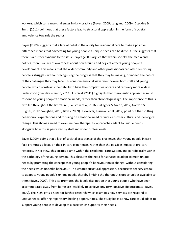workers, which can cause challenges in daily practice (Bayes, 2009; Langland, 2009). Steckley & Smith (2011) point out that these factors lead to structural oppression in the form of societal ambivalence towards the sector.

Bayes (2009) suggests that a lack of belief in the ability for residential care to make a positive difference means that advocating for young people's unique needs can be difficult. She suggests that there is a further dynamic to this issue. Bayes (2009) argues that within society, the media and politics, there is a lack of awareness about how trauma and neglect affects young people's development. This means that the wider community and other professionals can often see young people's struggles, without recognising the progress that they may be making, or indeed the nature of the challenges they may face. This one-dimensional view disempowers both staff and young people, which constrains their ability to have the complexities of care and recovery more widely understood (Steckley & Smith, 2011). Furnivall (2011) highlights that therapeutic approaches must respond to young people's emotional needs, rather than chronological age. The importance of this is extolled throughout the literature (Blaustein et al, 2016; Gallagher & Green, 2012; Gordon & Hughes, 2012; Vaughan, 2016; Bayes, 2009). However, Furnivall et al (2012) point out that shifting behavioural expectations and focusing on emotional need requires a further cultural and ideological change. This shows a need to examine how therapeutic approaches adapt to unique needs, alongside how this is perceived by staff and wider professionals.

Bayes (2009) claims that a lack of societal acceptance of the challenges that young people in care face promotes a focus on their in-care experiences rather than the possible impact of pre-care histories. In her view, this locates blame within the residential care system, and paradoxically within the pathology of the young person. This obscures the need for services to adapt to meet unique needs by promoting the concept that young people's behaviour must change, without considering the needs which underlie behaviour. This creates structural oppression, because wider services fail to adapt to young people's unique needs, thereby limiting the therapeutic opportunities available to them (Bayes, 2009). This also promotes the ideological notion that young people who have been accommodated away from home are less likely to achieve long term positive life outcomes (Bayes, 2009). This highlights a need for further research which examines how services can respond to unique needs, offering reparatory, healing opportunities. The study looks at how care could adapt to support young people to develop at a pace which supports their needs.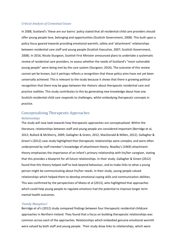#### *Critical Analysis of Contextual Issues*

In 2008, Scotland's 'these are our bairns' policy stated that all residential child care providers should offer young people love, belonging and opportunities (Scottish Government, 2008). This built upon a policy focus geared towards providing emotional warmth, safety and 'attachment' relationships between residential care staff and young people (Scottish Executive, 2007; Scottish Government, 2008). In 2016, Nicola Sturgeon, Scottish First Minister announced plans to undertake a systematic review of residential care providers, to assess whether the needs of Scotland's "most vulnerable young people" were being met by the care system (Sturgeon, 2016). The outcome of this review cannot yet be known, but it perhaps reflects a recognition that these policy aims have not yet been universally achieved. This is relevant to the study because it shows that there is growing political recognition that there may be gaps between the rhetoric about therapeutic residential care and practice realities. This study contributes to this by generating new knowledge about how one Scottish residential child care responds to challenges, whilst embodying therapeutic concepts in practice.

## <span id="page-8-0"></span>Conceptualising Therapeutic Approaches

#### *Relationships*

The study will now look towards how therapeutic approaches are conceptualised. Within the literature, relationships between staff and young people are considered important (Berridge et al, 2012; Bullock & McSherry, 2009; Gallagher & Green, 2012; MacDonald & Millen, 2012). Gallagher & Green's (2012) case study highlighted that therapeutic relationships were complex, and were often underpinned by staff member's knowledge of attachment theory. Bowlby's (1969) attachment theory emphasises the importance of an infant's primary relationship with his/her caregiver, stating that this provides a blueprint for all future relationships. In their study, Gallagher & Green (2012) found that this theory helped staff to look beyond behaviour, and to make links to what a young person might be communicating about his/her needs. In their study, young people valued relationships which helped them to develop emotional coping skills and communication abilities. This was confirmed by the perspectives of Matos et al (2013), who highlighted that approaches which could help young people to regulate emotions had the potential to improve longer term mental health outcomes.

#### *'Family Metaphors'*

Berridge et al's (2012) study compared findings between four therapeutic residential childcare approaches in Northern Ireland. They found that a focus on building therapeutic relationships was common across each of the approaches. Relationships which embodied genuine emotional warmth were valued by both staff and young people. Their study drew links to relationships, which were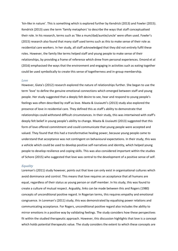'kin-like in nature'. This is something which is explored further by Kendrick (2013) and Fowler (2015). Kendrick (2013) uses the term 'family metaphors' to describe the ways that staff conceptualised their role. In his research, terms such as 'like a mum/dad/auntie/uncle' were often used. Fowler's (2015) research also found that many staff used terms such as this to make sense of their role as residential care workers. In her study, all staff acknowledged that they did not entirely fulfil these roles. However, the family like terms helped staff and young people to make sense of their relationships, by providing a frame of reference which drew from personal experiences. Emond et al (2016) emphasised the ways that the environment and engaging in activities such as eating together could be used symbolically to create this sense of togetherness and in-group membership.

#### *Love*

However, Giata's (2012) research explored the nature of relationships further. She began to use the term 'love' to define the genuine emotional connections which emerged between staff and young people. Her study suggested that a deeply felt desire to see, hear and respond to young people's feelings was often described by staff as love. Maata & Uusiautti's (2013) study also explored the presence of love in residential care. They defined this as staff's ability to demonstrate that relationships could withstand difficult circumstances. In their study, this was intertwined with staff's deeply felt belief in young people's ability to change. Maata & Uusiautti (2013) suggested that this form of love offered commitment and could communicate that young people were accepted and valued. They found that this had a transformative healing power, because young people came to understand that acceptance was not contingent on behavioural expectations. In their study, this was a vehicle which could be used to develop positive self-narratives and identity, which helped young people to develop resilience and coping skills. This was also considered important within the studies of Schore (2015) who suggested that love was central to the development of a positive sense of self.

#### *Equality*

Loreman's (2011) study however, points out that love can only exist in organisational cultures which avoid dominance and control. This means that love requires an acceptance that all humans are equal, regardless of their status as young person or staff member. In his study, this was found to create a culture of mutual respect. Arguably, links can be made between this and Rogers (1980) concepts of unconditional positive regard. In Rogerian terms, this requires empathy and emotional congruence. In Loreman's (2011) study, this was demonstrated by equalising power relations and communicating acceptance. For Rogers, unconditional positive regard also includes the ability to mirror emotions in a positive way by validating feelings. The study considers how these perspectives fit within the studied therapeutic approach. However, this discussion highlights that love is a concept which holds potential therapeutic value. The study considers the extent to which these concepts are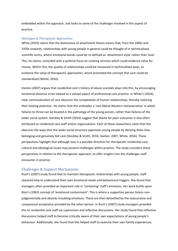embedded within the approach, and looks to some of the challenges involved in this aspect of practice.

#### *Ideologies & Therapeutic Approaches*

White (2016) claims that the dominance of attachment theory means that, from the 1960s and 1970s onwards, relationships with young people in general could be thought of in technicalised, scientific terms, where emotional bonds could be re-defined as 'attachment style' rather than 'love'. This, he claims, coincided with a political focus on creating services which could evidence value for money. Within this, the quality of relationships could be measured in technicalised ways, to evidence the value of therapeutic approaches, which promoted the concept that care could be standardised (White, 2016).

Hanlon (2007) argues that residential care's history of abuse scandals plays into this, by encouraging emotional distance to be viewed as a valued aspect of professional care practice. In White's (2016) view, technicalisation of care obscures the complexities of human relationships, thereby reducing their healing potential. He claims that this embodies a 'neo-liberal Western metanarrative' in which failures to thrive can be located in the pathology of the young person, rather than failures of the wider social system. Steckley & Smith (2016) suggest that blame for poor outcomes is also often attributed to residential care staff and/or organisations. Each of these researchers claim that this obscures the ways that the wider social structure oppresses young people by denying them love, belonging and genuinely felt care (Steckley & Smith, 2016; Hanlon, 2007; White, 2016). These perspectives highlight that although love is a possible direction for therapeutic residential care, cultural and ideological issues may present challenges within practice. The study considers these perspectives in relation to the therapeutic approach, to offer insights into the challenges staff encounter in practice.

## <span id="page-10-0"></span>Challenges & Support Mechanisms

Ruch's (2007) study found that to maintain therapeutic relationships with young people, staff required help to understand their own emotional needs and behavioural triggers. She found that managers often provided an important role in 'containing' staff's emotions. Her work builds upon Bion's (1962) concept of 'emotional containment'. This is where a supportive person listens nonjudgementally and absorbs troubling emotions. These are then detoxified by the reassurance and unequivocal acceptance provided by the other person. In Ruch's (2007) study managers provided this to residential care staff via supervision and reflective discussions. Her study found that reflective discussions helped staff to become critically aware of their own expectations of young people's behaviour. Additionally, she found that this helped staff to examine their own family experiences,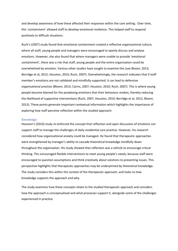and develop awareness of how these affected their responses within the care setting. Over time, this 'containment' allowed staff to develop emotional resilience. This helped staff to respond positively to difficult situations.

Ruch's (2007) study found that emotional containment created a reflective organisational culture, where all staff, young people and managers were encouraged to openly discuss and analyse emotions. However, she also found that where managers were unable to provide 'emotional containment', there was a risk that staff, young people and the entire organisation could be overwhelmed by emotion. Various other studies have sought to examine this (see Bloom, 2013; Berridge et al, 2012; Houston, 2010; Ruch, 2007). Overwhelmingly, the research indicates that if staff member's emotions are not validated and mindfully supported, it can lead to defensive organisational practice (Bloom, 2013; Cairns, 2007; Houston, 2010; Ruch, 2007). This is where young people become blamed for the perplexing emotions that their behaviour evokes, thereby reducing the likelihood of supportive interventions (Ruch, 2007; Houston, 2010; Berridge et al, 2012; Bloom, 2013). These points generate important contextual information which highlights the importance of exploring how staff perceive reflection within the studied approach.

#### *Knowledge*

Houston's (2010) study re-enforced the concept that reflection and open discussion of emotions can support staff to manage the challenges of daily residential care practice. However, his research considered how organisational anxiety could be managed. He found that therapeutic approaches were strengthened by manager's ability to cascade theoretical knowledge mindfully down throughout the organisation. His study showed that reflection was a vehicle to encourage critical thinking. This encouraged flexible interventions to meet young people's needs, because staff were encouraged to question assumptions and think creatively about solutions to presenting issues. This perspective highlights that therapeutic approaches may be underpinned by theoretical knowledge. The study considers this within the context of the therapeutic approach, and looks to how knowledge supports the approach and why.

The study examines how these concepts relate to the studied therapeutic approach and considers how the approach is conceptualised and what processes support it, alongside some of the challenges experienced in practice.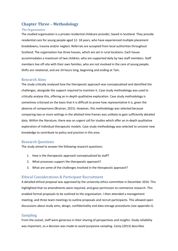# <span id="page-12-0"></span>**Chapter Three – Methodology**

#### *The Organisation*

The studied organisation is a private residential childcare provider, based in Scotland. They provide residential care for young people aged 12- 18 years, who have experienced multiple placement breakdowns, trauma and/or neglect. Referrals are accepted from local authorities throughout Scotland. The organisation has three houses, which are set in rural locations. Each house accommodates a maximum of two children, who are supported daily by two staff members. Staff members live off-site with their own families, who are not involved in the care of young people. Shifts are rotational, and are 24 hours long, beginning and ending at 7am.

## <span id="page-12-1"></span>Research Aims

The study critically analysed how the therapeutic approach was conceptualised and identified the challenges, alongside the support required to maintain it. Case study methodology was used to critically analyse this, offering an in-depth qualitative exploration. Case study methodology is sometimes criticised on the basis that it is difficult to prove how representative it is, given the absence of comparisons (Bryman, 2015). However, this methodology was selected because comparing two or more settings in the allotted time frames was unlikely to gain sufficiently detailed data. Within the literature, there was an urgent call for studies which offer an in-depth qualitative exploration of individual therapeutic models. Case study methodology was selected to uncover new knowledge to contribute to policy and practice in this area.

## <span id="page-12-2"></span>Research Questions

The study aimed to answer the following research questions:

- 1. How is the therapeutic approach conceptualised by staff?
- 2. What processes support the therapeutic approach?
- 3. What are some of the challenges involved in the therapeutic approach?

## <span id="page-12-3"></span>Ethical Considerations & Participant Recruitment

A detailed ethical proposal was approved by the university ethics committee in December 2016. This highlighted that no amendments were required, and gave permission to commence research. This enabled formal proposals to be outlined to the organisation. I then attended a management meeting, and three team meetings to outline proposals and recruit participants. This allowed open discussions about study aims, design, confidentiality and data storage procedures (see appendix ii).

## <span id="page-12-4"></span>Sampling

From the outset, staff were generous in their sharing of perspectives and insights. Study reliability was important, so a decision was made to avoid purposive sampling. Carey (2013) describes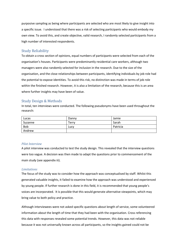purposive sampling as being where participants are selected who are most likely to give insight into a specific issue. I understood that there was a risk of selecting participants who would embody my own view. To avoid this, and create objective, valid research, I randomly selected participants from a high number of interested respondents.

## <span id="page-13-0"></span>Study Reliability

To obtain a cross section of opinions, equal numbers of participants were selected from each of the organisation's houses. Participants were predominantly residential care workers, although two managers were also randomly selected for inclusion in the research. Due to the size of the organisation, and the close relationships between participants, identifying individuals by job role had the potential to expose identities. To avoid this risk, no distinction was made in terms of job role within the finished research. However, it is also a limitation of the research, because this is an area where further insights may have been of value.

## <span id="page-13-1"></span>Study Design & Methods

In total, ten interviews were conducted. The following pseudonyms have been used throughout the research:

| Lucas      | Danny | Jamie    |
|------------|-------|----------|
| Suzanne    | Terry | Sarah    |
| <b>Bob</b> | Lucy  | Patricia |
| Andrew     |       |          |

#### *Pilot Interview*

A pilot interview was conducted to test the study design. This revealed that the interview questions were too vague. A decision was then made to adapt the questions prior to commencement of the main study (see appendix iii).

#### *Limitations*

The focus of the study was to consider how the approach was conceptualised by staff. Whilst this generated valuable insights, it failed to examine how the approach was understood and experienced by young people. If further research is done in this field, it is recommended that young people's voices are incorporated. It is possible that this would generate alternative viewpoints, which may bring value to both policy and practice.

Although interviewees were not asked specific questions about length of service, some volunteered information about the length of time that they had been with the organisation. Cross referencing this data with responses revealed some potential trends. However, this data was not reliable because it was not universally known across all participants, so the insights gained could not be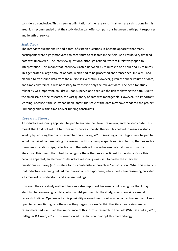considered conclusive. This is seen as a limitation of the research. If further research is done in this area, it is recommended that the study design can offer comparisons between participant responses and length of service.

#### *Study Scope*

The interview questionnaire had a total of sixteen questions. It became apparent that many participants were highly motivated to contribute to research in the field. As a result, very detailed data was uncovered. The interview questions, although refined, were still relatively open to interpretation. This meant that interviews lasted between 45 minutes to one hour and 45 minutes. This generated a large amount of data, which had to be processed and transcribed. Initially, I had planned to transcribe data from the audio files verbatim. However, given the sheer volume of data, and time constraints, it was necessary to transcribe only the relevant data. The need for study reliability was important, so I drew upon supervision to reduce the risk of skewing the data. Due to the small scale of the research, the vast quantity of data was manageable. However, it is important learning, because if the study had been larger, the scale of the data may have rendered the project unmanageable within time and/or funding constraints.

#### <span id="page-14-0"></span>Research Theory

An inductive reasoning approach helped to analyse the literature review, and the study data. This meant that I did not set out to prove or disprove a specific theory. This helped to maintain study validity by reducing the risk of researcher bias (Carey, 2013). Avoiding a fixed hypothesis helped to avoid the risk of contaminating the research with my own perspectives. Despite this, themes such as therapeutic relationships, reflection and theoretical knowledge emanated strongly from the literature. This meant that I had to recognise these themes as pertinent to the study. Once this became apparent, an element of deductive reasoning was used to create the interview questionnaire. Carey (2013) refers to this combinistic approach as 'retroduction'. What this means is that inductive reasoning helped me to avoid a firm hypothesis, whilst deductive reasoning provided a framework to understand and analyse findings.

However, the case study methodology was also important because I could recognise that I may identify phenomenological data, which whilst pertinent to the study, may sit outside general research findings. Open-ness to this possibility allowed me to cast a wide conceptual net, and I was open to re-negotiating hypotheses as they began to form. Within the literature review, many researchers had identified the importance of this form of research to the field (Whittaker et al, 2016; Gallagher & Green, 2012). This re-enforced the decision to adopt this methodology.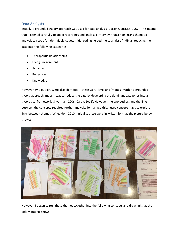## <span id="page-15-0"></span>Data Analysis

Initially, a grounded theory approach was used for data analysis (Glaser & Strauss, 1967). This meant that I listened carefully to audio recordings and analysed interview transcripts, using thematic analysis to scope for identifiable codes. Initial coding helped me to analyse findings, reducing the data into the following categories:

- Therapeutic Relationships
- Living Environment
- Activities
- **Reflection**
- Knowledge

However, two outliers were also identified – these were 'love' and 'morals'. Within a grounded theory approach, my aim was to reduce the data by developing the dominant categories into a theoretical framework (Silverman, 2006; Carey, 2013). However, the two outliers and the links between the concepts required further analysis. To manage this, I used concept maps to explore links between themes (Wheeldon, 2010). Initially, these were in written form as the picture below shows:



However, I began to pull these themes together into the following concepts and drew links, as the below graphic shows: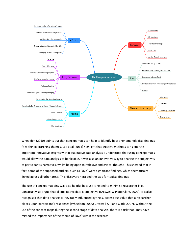

Wheeldon (2010) points out that concept maps can help to identify how phenomenological findings fit within overarching themes. Lee et al (2014) highlight that creative methods can generate important innovative insights within qualitative data analysis. I understood that using concept maps would allow the data analysis to be flexible. It was also an innovative way to analyse the subjectivity of participant's narratives, whilst being open to reflexive and critical thought. This showed that in fact, some of the supposed outliers, such as 'love' were significant findings, which thematically linked across all other areas. This discovery heralded the way for topical findings.

The use of concept mapping was also helpful because it helped to minimise researcher bias. Constructivists argue that all qualitative data is subjective (Creswell & Plano Clark, 2007). It is also recognised that data analysis is inevitably influenced by the subconscious value that a researcher places upon participant's responses (Wheeldon, 2009; Creswell & Plano Clark, 2007). Without the use of the concept maps during the second stage of data analysis, there is a risk that I may have missed the importance of the theme of 'love' within the research.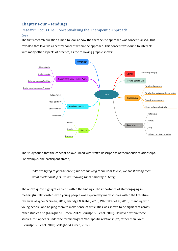# <span id="page-17-0"></span>**Chapter Four – Findings**

# <span id="page-17-1"></span>Research Focus One: Conceptualising the Therapeutic Approach

## *Love*

The first research question aimed to look at how the therapeutic approach was conceptualised. This revealed that love was a central concept within the approach. This concept was found to interlink with many other aspects of practice, as the following graphic shows:



The study found that the concept of love linked with staff's descriptions of therapeutic relationships. For example, one participant stated,

*"We are trying to get their trust, we are showing them what love is, we are showing them what a relationship is, we are showing them empathy." (Terry)*

The above quote highlights a trend within the findings. The importance of staff engaging in meaningful relationships with young people was explored by many studies within the literature review (Gallagher & Green, 2012; Berridge & Biehal, 2010; Whittaker et al, 2016). Standing with young people, and helping them to make sense of difficulties was shown to be significant across other studies also (Gallagher & Green, 2012; Berridge & Biehal, 2010). However, within these studies, this appears under the terminology of 'therapeutic relationships', rather than 'love' (Berridge & Biehal, 2010; Gallagher & Green, 2012).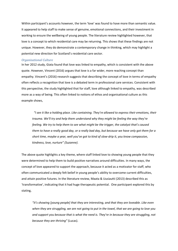Within participant's accounts however, the term 'love' was found to have more than semantic value. It appeared to help staff to make sense of genuine, emotional connections, and their investment in working to ensure the wellbeing of young people. The literature review highlighted however, that love is a concept to which residential care may be returning. This shows that these findings are not unique. However, they do demonstrate a contemporary change in thinking, which may highlight a potential new direction for Scotland's residential care sector.

#### *Organisational Culture*

In her 2012 study, Giata found that love was linked to empathy, which is consistent with the above quote. However, Vincent (2016) argues that love is a far wider, more reaching concept than empathy. Vincent's (2016) research suggests that describing the concept of love in terms of empathy often reflects a recognition that love is a debated term in professional care services. Consistent with this perspective, the study highlighted that for staff, love although linked to empathy, was described more as a way of being. This often linked to notions of ethos and organisational culture as this example shows,

*"I see it like a holding place. Like containing. They're allowed to express their emotions, their trauma. We'll try and help them understand why they might be feeling the way they're feeling. We try to help them to see what might be the trigger, the catalyst that's caused them to have a really good day, or a really bad day, but because we have only got them for a short time, maybe a year, well you've got to kind of slow-drip it, you know compassion, kindness, love, nurture" (Suzanne).*

The above quote highlights a key theme, where staff linked love to showing young people that they were determined to help them to build positive narratives around difficulties. In many ways, the concept of love appeared to support the approach, because it acted as a motivator for staff, who often communicated a deeply felt belief in young people's ability to overcome current difficulties, and attain positive futures. In the literature review, Maata & Uusiautti (2013) described this as 'transformative', indicating that it had huge therapeutic potential. One participant explored this by stating,

*"it's showing [young people] that they are interesting, and that they are loveable. Like even when they are struggling, we are not going to put in the towel, that we are going to love you and support you because that is what the need is. They're in because they are struggling, not because they are thriving"* (Lucas).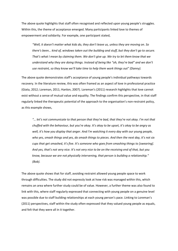The above quote highlights that staff often recognised and reflected upon young people's struggles. Within this, the theme of acceptance emerged. Many participants linked love to themes of empowerment and solidarity. For example, one participant stated,

*"Well, it doesn't matter what kids do, they don't leave us, unless they are moving on. So there's been… kind of, windows taken out the building and stuff, but they don't go to secure. That's what I mean by claiming them. We don't give up. We try to let them know that we understand why they are doing things. Instead of being like "oh, they're bad" and we don't use restraint, so they know we'll take time to help them work things out" (Danny).*

The above quote demonstrates staff's acceptance of young people's individual pathways towards recovery. In the literature review, this was often framed as an aspect of love in professional practice (Giata, 2012; Loreman, 2011; Hanlon, 2007). Loreman's (2011) research highlights that love cannot exist without a sense of mutual value and equality. The findings confirm this perspective, in that staff regularly linked the therapeutic potential of the approach to the organisation's non-restraint policy, as this example shows,

*"… let's not communicate to that person that they're bad, that they're not okay. I'm not that chuffed with the behaviour, but you're okay. It's okay to be upset, it's okay to be angry as well, it's how you display that anger. And I'm watching it every day with our young people, who yes, smash things and yes, do smash things to pieces. And then the next day, it's not six cups that get smashed, it's five. It's someone who goes from smashing things to [swearing]. And yes, that's not very nice. It's not very nice to be on the receiving end of that, but you know, because we are not physically intervening, that person is building a relationship." (Bob).*

The above quote shows that for staff, avoiding restraint allowed young people space to work through difficulties. The study did not expressly look at how risk was managed within this, which remains an area where further study could be of value. However, a further theme was also found to link with this, where staff regularly expressed that connecting with young people on a genuine level was possible due to staff building relationships at each young person's pace. Linking to Loreman's (2011) perspectives, staff within the study often expressed that they valued young people as equals, and felt that they were all in it together.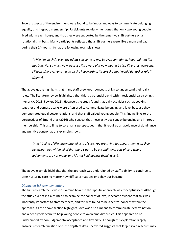Several aspects of the environment were found to be important ways to communicate belonging, equality and in-group membership. Participants regularly mentioned that only two young people lived within each house, and that they were supported by the same two shift partners on a rotational shift basis. Many participants reflected that shift partners were 'like a mum and dad' during their 24-hour shifts, as the following example shows,

*"while I'm on shift, even the adults can come to me. So even sometimes, I get told that I'm not Dad. Not so much now, because I'm aware of it now, but I'd be like I'll protect everyone, I'll look after everyone. I'd do all the heavy lifting, I'd sort the car. I would do 'father role'" (Danny).*

The above quote highlights that many staff drew upon concepts of kin to understand their daily roles. The literature review highlighted that this is a potential trend within residential care settings (Kendrick, 2013; Fowler, 2015). However, the study found that daily activities such as cooking together and domestic tasks were often used to communicate belonging and love, because they demonstrated equal power relations, and that staff valued young people. This finding links to the perspectives of Emond et al (2016) who suggest that these activities convey belonging and in-group membership. This also links to Loreman's perspectives in that it required an avoidance of dominance and punitive control, as this example shows,

*"And it's kind of like unconditional acts of care. You are trying to support them with their behaviour, but within all of that there's got to be unconditional acts of care where judgements are not made, and it's not held against them" (Lucy).*

The above example highlights that the approach was underpinned by staff's ability to continue to offer nurturing care no matter how difficult situations or behaviour became.

#### *Discussion & Recommendations*

The first research focus was to examine how the therapeutic approach was conceptualised. Although the study did not initially intend to examine the concept of love, it became evident that this was inherently important to staff members, and this was found to be a central concept within the approach. As the above section highlights, love was also a means to communicate determination, and a deeply felt desire to help young people to overcome difficulties. This appeared to be underpinned by non-judgemental acceptance and flexibility. Although this exploration largely answers research question one, the depth of data uncovered suggests that larger scale research may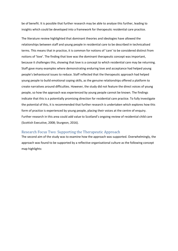be of benefit. It is possible that further research may be able to analyse this further, leading to insights which could be developed into a framework for therapeutic residential care practice.

The literature review highlighted that dominant theories and ideologies have allowed the relationships between staff and young people in residential care to be described in technicalised terms. This means that in practice, it is common for notions of 'care' to be considered distinct from notions of 'love'. The finding that love was the dominant therapeutic concept was important, because it challenges this, showing that love is a concept to which residential care may be returning. Staff gave many examples where demonstrating enduring love and acceptance had helped young people's behavioural issues to reduce. Staff reflected that the therapeutic approach had helped young people to build emotional coping skills, as the genuine relationships offered a platform to create narratives around difficulties. However, the study did not feature the direct voices of young people, so how the approach was experienced by young people cannot be known. The findings indicate that this is a potentially promising direction for residential care practice. To fully investigate the potential of this, it is recommended that further research is undertaken which explores how this form of practice is experienced by young people, placing their voices at the centre of enquiry. Further research in this area could add value to Scotland's ongoing review of residential child care (Scottish Executive, 2008; Sturgeon, 2016).

## <span id="page-21-0"></span>Research Focus Two: Supporting the Therapeutic Approach

The second aim of the study was to examine how the approach was supported. Overwhelmingly, the approach was found to be supported by a reflective organisational culture as the following concept map highlights: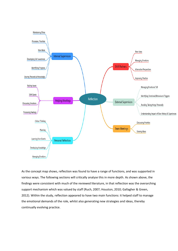

As the concept map shows, reflection was found to have a range of functions, and was supported in various ways. The following sections will critically analyse this in more depth. As shown above, the findings were consistent with much of the reviewed literature, in that reflection was the overarching support mechanism which was valued by staff (Ruch, 2007; Houston, 2010; Gallagher & Green, 2012). Within the study, reflection appeared to have two main functions: it helped staff to manage the emotional demands of the role, whilst also generating new strategies and ideas, thereby continually evolving practice.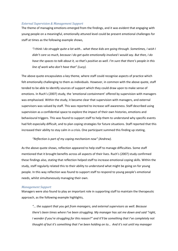#### *External Supervision & Management Support*

The theme of managing emotions emerged from the findings, and it was evident that engaging with young people on a meaningful, emotionally attuned level could be present emotional challenges for staff at times as the following example shows,

*"I think I do struggle quite a lot with… what these kids are going through. Sometimes, I wish I didn't care so much, because I do get quite emotionally involved I would say. But then, I do have the spaces to talk about it, so that's positive as well. I'm sure that there's people in this line of work who don't have that" (Lucy).*

The above quote encapsulates a key theme, where staff could recognise aspects of practice which felt emotionally challenging to them as individuals. However, in common with the above quote, staff tended to be able to identify sources of support which they could draw upon to make sense of emotions. In Ruch's (2007) study, the 'emotional containment' offered by supervision with managers was emphasised. Within the study, it became clear that supervision with managers, and external supervisors was valued by staff. This was reported to increase self-awareness. Staff described using supervision as a confidential space to explore the impact of their own histories, emotions and behavioural triggers. This was found to support staff to help them to understand why specific events had felt especially difficult, and to plan coping strategies for future situations. Staff reported that this increased their ability to stay calm in a crisis. One participant summed this finding up stating,

#### *"Reflection is part of my coping mechanism now" (Andrew).*

As the above quote shows, reflection appeared to help staff to manage difficulties. Some staff mentioned that it brought benefits across all aspects of their lives. Ruch's (2007) study confirmed these findings also, stating that reflection helped staff to increase emotional coping skills. Within the study, staff regularly related this to their ability to understand what might be going on for young people. In this way reflection was found to support staff to respond to young people's emotional needs, whilst simultaneously managing their own.

#### *Management Support*

Managers were also found to play an important role in supporting staff to maintain the therapeutic approach, as the following example highlights,

*"… the support that you get from managers, and external supervisors as well. Because there's been times where I've been struggling. My manager has sat me down and said "right, I wonder if you're struggling for this reason?" and it'll be something that I've completely not thought of but it's something that I've been holding on to… And it's not until my manager*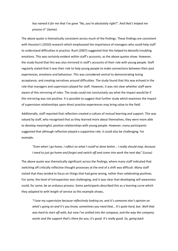*has named it for me that I've gone "No, you're absolutely right!". And that's helped me process it" (Jamie).*

The above quote is thematically consistent across much of the findings. These findings are consistent with Houston's (2010) research which emphasised the importance of managers who could help staff to understand difficulties in practice. Ruch (2007) suggested that this helped to detoxify troubling emotions. This was certainly evident within staff's accounts, as the above quotes show. However, the study found that this was also mirrored in staff's accounts of their role with young people. Staff regularly stated that it was their role to help young people to make connections between their past experiences, emotions and behaviour. This was considered central to demonstrating loving acceptance, and creating narratives around difficulties. The study found that this was echoed in the role that managers and supervisors played for staff. However, it was not clear whether staff were aware of this mirroring of roles. The study could not conclusively say what the impact would be if this mirroring was not positive. It is possible to suggest that further study which examines the impact of supervision relationships upon direct practice experiences may bring value to the field.

Additionally, staff reported that reflection created a culture of mutual learning and support. This was valued by staff, who recognised that as they learned more about themselves, they were more able to develop meaningful, positive relationships with young people. However, many participants suggested that although reflection played a supportive role, it could also be challenging. For example,

# "Even when I go home, I reflect on what I could've done better... I really should stop, because *I need to just go home and forget and switch off and come into work the next day" (Lucas)*

The above quote was thematically significant across the findings, where many staff indicated that switching off critically reflective thought processes at the end of a shift was difficult. Many staff stated that they tended to focus on things that had gone wrong, rather than celebrating positives. For some, the level of introspection was challenging, and it was clear that developing self-awareness could, for some, be an arduous process. Some participants described this as a learning curve which they adapted to with length of service as this example shows,

*"I love my supervision because reflectively looking on, and it's someone else's opinion on what's going on and it's you know, sometimes you need that… It's quite hard, but. Well that was hard to start off with, but now I've settled into the company, and the way the company works and the support that's there for you, it's good. It's really good. So, going back*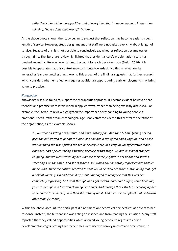*reflectively, I'm taking more positives out of everything that's happening now. Rather than thinking, "have I done that wrong?" (Andrew).*

As the above quote shows, the study began to suggest that reflection may become easier through length of service. However, study design meant that staff were not asked explicitly about length of service. Because of this, it is not possible to conclusively say whether reflection became easier through time. The literature review highlighted that residential care's problematic history has created an audit culture, where staff must account for each decision made (Smith, 2016). It is possible to speculate that this context may contribute towards difficulties in reflection, by generating fear over getting things wrong. This aspect of the findings suggests that further research which considers whether reflection requires additional support during early employment, may bring value to practice.

#### *Knowledge*

Knowledge was also found to support the therapeutic approach. It became evident however, that theories and practice were intertwined in applied ways, rather than being explicitly discussed. For example, the literature review highlighted the importance of responding to young people's emotional needs, rather than chronological age. Many staff considered this central to the ethos of the organisation, as this example shows,

*"… we were all sitting at the table, and it was totally fine. And then "Elidh" [young person – pseudonym] started to get quite hyper. And she had a cup of tea and a yoghurt, and as she was laughing she was spitting the tea out everywhere, in a very up, up hyperactive mood. And then, sort of even taking it further, because at this stage, we had all kind of stopped laughing, and we were watching her. And she took the yoghurt in her hands and started smearing it on the table. And she is sixteen, so I would say she totally regressed into toddler mode. And I think the natural reaction to that would be "You are sixteen, stop doing that, get a hold of yourself! Go and clean it up!" but I managed to recognise that this was her completely regressing. So I went through and I got a cloth, and I said "Right, come here you, you messy pup" and I started cleaning her hands. And through that I started encouraging her to clean the table herself. And then she actually did it. And then she completely calmed down after that" (Suzanne).*

Within the above account, the participant did not mention theoretical perspectives as drivers to her response. Instead, she felt that she was acting on instinct, and from reading the situation. Many staff reported that they valued opportunities which allowed young people to regress to earlier developmental stages, stating that these times were used to convey nurture and acceptance. In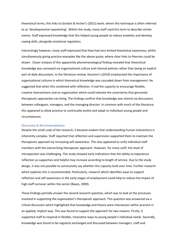theoretical terms, this links to Gordon & Archer's (2012) work, where this technique is often referred to as 'developmental reparenting'. Within the study, many staff used this term to describe similar events. Staff expressed knowledge that this helped young people to reduce anxieties and develop coping skills, alongside emotional regulation.

Interestingly however, many staff expressed that they had very limited theoretical awareness, whilst simultaneously giving practice examples like the above quote, where clear links to theories could be drawn. Closer analysis of this apparently phenomenological finding revealed that theoretical knowledge was conveyed via organisational culture and internal policies rather than being an explicit part of daily discussions. In the literature review, Houston's (2010) emphasised the importance of organisational cultures in which theoretical knowledge was cascaded down from management. He suggested that when this combined with reflection, it had the capacity to encourage flexible, creative interventions and an organisation which could tolerate the uncertainty that genuinely therapeutic approaches can bring. The findings confirm that knowledge was shared via discussions between colleagues, managers, and the managing director. In common with much of the literature, this appeared to allow practice to continually evolve and adapt to individual young people and circumstances.

#### *Discussion & Recommendations*

Despite the small scale of the research, it became evident that understanding human interactions is inherently complex. Staff reported that reflection and supervision supported them to maintain the therapeutic approach by increasing self-awareness. This also appeared to unify individual staff members with the overarching therapeutic approach. However, for many staff, this level of introspection was challenging. The study showed early indications that the ability to experience reflection as supportive and helpful may increase according to length of service. Due to the study design, it was not possible to conclusively say whether this capacity built over time. Further research which explores this is recommended. Particularly, research which identifies ways to support reflection and self-awareness in the early stages of employment could help to reduce the impact of high staff turnover within the sector (Bayes, 2009).

These findings partially answer the second research question, which was to look at the processes involved in supporting the organisation's therapeutic approach. This question was answered via a critical discussion which highlighted that knowledge and theory were interwoven within practice in an applied, implicit way. This was found to support the approach for two reasons. Firstly, it supported staff to respond in flexible, innovative ways to young people's individual needs. Secondly, knowledge was found to be regularly exchanged and discussed between managers, staff and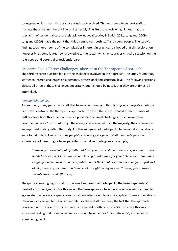colleagues, which meant that practice continually evolved. This was found to support staff to manage the anxieties inherent in working flexibly. The literature review highlighted that the specialism of residential care is rarely acknowledged (Steckley & Smith, 2011; Langland, 2009). Langland (2009) made the point that this disempowers both staff and young people. The study's findings touch upon some of the complexities inherent in practice. It is hoped that this exploration, however brief, contributes new knowledge to the sector, which encourages critical discussion on the role, scope and potential of residential care.

## <span id="page-27-0"></span>Research Focus Three: Challenges Inherent in the Therapeutic Approach

The third research question looks at the challenges involved in the approach. The study found that, staff encountered challenges on a personal, professional and structural level. The following sections discuss all three of these challenges separately, but it should be noted, that they are at times, all interlinked.

#### *Personal Challenges*

As discussed, many participants felt that being able to respond flexibly to young people's emotional needs was central to the therapeutic approach. However, the study revealed a small number of outliers, for whom this aspect of practice presented personal challenges, which were often described in 'moral' terms. Although these responses deviated from the majority, they represented an important finding within the study. For this sub-group of participants, behavioural expectations were found to link closely to young people's chronological age, and staff member's personal experiences of parenting or being parented. The below quote gives an example,

"*I mean, you wouldn't put up with that from your own child. And we are reparenting*… *there needs to be emphasis on manners and having to take stock for your behaviour… sometimes language and behaviour is unacceptable. I don't think that is sorted out enough, it's just sort of let go some of the time… and this is not an eight, nine-year-old: this is a fifteen, sixteen, seventeen-year-old" (Patricia).*

The quote above highlights that for this small sub-group of participants, the term 'reparenting' created a further dynamic. For this group, the term appeared to serve as a vehicle which connected age related behavioural expectations to staff member's own family biographies. These expectations often implicitly linked to notions of morals. For these staff members, the fact that the approach prioritised nurture over discipline created an element of ethical stress. Staff who felt this way expressed feeling that more consequences should be issued for 'poor behaviour', as the below example highlights,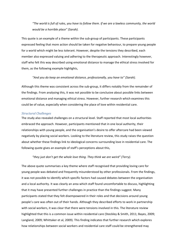*"The world is full of rules, you have to follow them. If we are a lawless community, the world would be a horrible place" (Sarah).*

This quote is an example of a theme within the sub-group of participants. These participants expressed feeling that more action should be taken for negative behaviour, to prepare young people for a world which might be less tolerant. However, despite the tensions they described, each member also expressed valuing and adhering to the therapeutic approach. Interestingly however, staff who felt this way described using emotional distance to manage the ethical stress involved for them, as the following example highlights,

#### *"And you do keep an emotional distance, professionally, you have to" (Sarah).*

Although this theme was consistent across the sub-group, it differs notably from the remainder of the findings. From analysing this, it was not possible to be conclusive about possible links between emotional distance and managing ethical stress. However, further research which examines this could be of value, especially when considering the place of love within residential care.

#### *Structural Challenges*

The study also revealed challenges on a structural level. Staff reported that most local authorities embraced the approach. However, participants mentioned that in one local authority, their relationships with young people, and the organisation's desire to offer aftercare had been viewed negatively by placing social workers. Looking to the literature review, this study raises the question about whether these findings link to ideological concerns surrounding love in residential care. The following quote gives an example of staff's perceptions about this,

#### *"they just don't get the whole love thing. They think we are weird" (Terry).*

The above quote summarises a key theme where staff recognised that providing loving care for young people was debated and frequently misunderstood by other professionals. From the findings, it was not possible to identify which specific factors had caused debates between the organisation and a local authority. It was clearly an area which staff found uncomfortable to discuss, highlighting that it may have presented further challenges in practice than the findings suggest. Many participants stated that they felt disempowered in their roles and that decisions around young people's care was often out of their hands. Although they described efforts to work in partnership with social workers, it was clear that there were tensions involved in this. The literature review highlighted that this is a common issue within residential care (Steckley & Smith, 2011; Bayes, 2009; Langland, 2009; Whittaker et al, 2009). This finding indicates that further research which explores how relationships between social workers and residential care staff could be strengthened may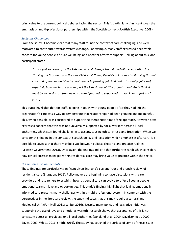bring value to the current political debates facing the sector. This is particularly significant given the emphasis on multi-professional partnerships within the Scottish context (Scottish Executive, 2008).

#### *Systemic Challenges*

From the study, it became clear that many staff found the context of care challenging, and were motivated to contribute towards systemic change. For example, many staff expressed deeply felt concern for young people's future wellbeing, and need for aftercare support. Talking about this, one participant stated,

*"… It's just so needed, all the kids would really benefit from it, and all the legislation like 'Staying put Scotland' and the new Children & Young People's act as well is all saying through care and aftercare, and I've just not seen it happening yet. And I think it's really quite sad, especially how much care and support the kids do get at [the organisation]. And I think it must be so hard to go from being so cared for, and so supported to…you know… just not" (Lucy)*

This quote highlights that for staff, keeping in touch with young people after they had left the organisation's care was a way to demonstrate that relationships had been genuine and meaningful. This, when possible, was considered to support the therapeutic aims of the approach. However, staff expressed concern that this was not universally supported by social workers across all local authorities, which staff found challenging to accept, causing ethical stress, and frustration. When we consider this finding in the context of Scottish policy and legislation which emphasises aftercare, it is possible to suggest that there may be a gap between political rhetoric, and practice realities (Scottish Government, 2013). Once again, the findings indicate that further research which considers how ethical stress is managed within residential care may bring value to practice within the sector.

#### *Discussion & Recommendations*

These findings are particularly significant given Scotland's current 'root and branch review' of residential care (Sturgeon, 2016). Policy makers are beginning to have discussions with care providers and researchers to establish how residential care can evolve to offer all young people emotional warmth, love and opportunities. This study's findings highlight that loving, emotionally informed care presents many challenges within a multi-professional system. In common with the perspectives in the literature review, the study indicates that this may require a cultural and ideological shift (Furnivall, 2011; White, 2016). Despite many policy and legislative initiatives supporting the use of love and emotional warmth, research shows that acceptance of this is not consistent across all providers, or all local authorities (Langland et al, 2009; Davidson et al, 2009; Bayes, 2009; White, 2016; Smith, 2016). The study has touched the surface of some of these issues,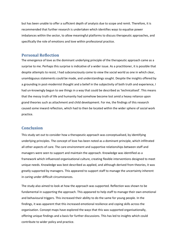but has been unable to offer a sufficient depth of analysis due to scope and remit. Therefore, it is recommended that further research is undertaken which identifies ways to equalise power imbalances within the sector, to allow meaningful platforms to discuss therapeutic approaches, and specifically the role of emotions and love within professional practice.

## **Personal Reflection**

The emergence of love as the dominant underlying principle of the therapeutic approach came as a surprise to me. Perhaps this surprise is indicative of a wider issue. As a practitioner, it is possible that despite attempts to resist, I had subconsciously come to view the social world as one in which clear, unambiguous statements could be made, and understandings sought. Despite the insights offered by a grounding in post-modernist thought and a belief in the subjectivity of both truth and experience, I had un-knowingly begun to see things in a way that could be described as 'technicalised'. This means that the messy truth of life and humanity had somehow become lost amid a heavy reliance upon grand theories such as attachment and child development. For me, the findings of this research caused some inward reflection, which had to then be located within the wider sphere of social work practice.

## <span id="page-30-0"></span>**Conclusion**

This study set out to consider how a therapeutic approach was conceptualised, by identifying underlying principles. The concept of love has been noted as a dominant principle, which infiltrated all other aspects of care. The care environment and supportive relationships between staff and managers were seen to support and maintain the approach. Knowledge was identified as a framework which influenced organisational culture, creating flexible interventions designed to meet unique needs. Knowledge was best described as applied, and although derived from theories, it was greatly supported by managers. This appeared to support staff to manage the uncertainty inherent in caring under difficult circumstances.

The study also aimed to look at how the approach was supported. Reflection was shown to be fundamental in supporting the approach. This appeared to help staff to manage their own emotional and behavioural triggers. This increased their ability to do the same for young people. In the findings, it was apparent that this increased emotional resilience and coping skills across the organisation. Concept maps have explored the ways that this was supported organisationally, offering unique findings and a basis for further discussions. This has led to insights which could contribute to wider policy and practice.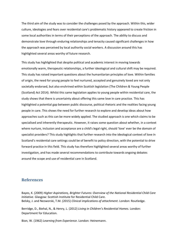The third aim of the study was to consider the challenges posed by the approach. Within this, wider culture, ideologies and fears over residential care's problematic history appeared to create friction in some local authorities in terms of their perceptions of the approach. The ability to discuss and demonstrate love through enduring relationships and tenacity caused significant challenges in how the approach was perceived by local authority social workers. A discussion around this has highlighted several areas worthy of future research.

This study has highlighted that despite political and academic interest in moving towards emotionally warm, therapeutic relationships, a further ideological and cultural shift may be required. This study has raised important questions about the humanitarian principles of love. Within families of origin, the need for young people to feel nurtured, accepted and genuinely loved are not only societally endorsed, but also enshrined within Scottish legislation (The Children & Young People (Scotland) Act 2014). Whilst this same legislation applies to young people within residential care, the study shows that there is uncertainty about offering this same love in care practice. This has highlighted a potential gap between public discourse, political rhetoric and the realities facing young people in care. This shows the need for further research to explore and develop ideas about how approaches such as this can be more widely applied. The studied approach is one which claims to be specialised and inherently therapeutic. However, it raises some question about whether, in a context where nurture, inclusion and acceptance are a child's legal right, should 'love' ever be the domain of specialist providers? This study highlights that further research into the ideological context of love in Scotland's residential care settings could be of benefit to policy direction, with the potential to drive forward practice in this field. This study has therefore highlighted several areas worthy of further investigation, and has made several recommendations to contribute towards ongoing debates around the scope and use of residential care in Scotland.

## <span id="page-31-0"></span>**References**

Bayes, K. (2009) *Higher Aspirations, Brighter Futures: Overview of the National Residential Child Care Initiative*. Glasgow: Scottish Institute for Residential Child Care. Belsky, J. and Nezworski, T.M. (2015) *Clinical implications of attachment*. London: Routledge.

Berridge, D., Biehal, N., & Henry, L. (2012) *Living in Children's Residential Homes.* London: Department for Education.

Bion, W. (1962) *Learning from Experience*. London: Heinemann.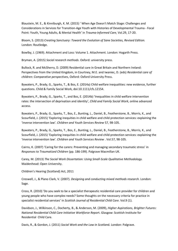Blaustein, M. E., & Kinniburgh, K. M. (2015) ' When Age Doesn't Match Stage: Challenges and Considerations in Services for Transition-Age Youth with Histories of Developmental Trauma - Focal Point: Youth, Young Adults, & Mental Health' in *Trauma-Informed Care*, Vol.29, 17-20.

Bloom, S. (2013) *Creating Sanctuary: Toward the Evolution of Sane Societies, Revised Edition.*  London: Routledge.

Bowlby, J. (1969). Attachment and Loss: Volume 1. Attachment. London: Hogarth Press.

Bryman, A. (2015) *Social research methods*. Oxford: university press.

Bullock, R. and McSherry, D. (2009) Residential care in Great Britain and Northern Ireland: Perspectives from the United Kingdom, in Courtney, M.E. and Iwaniec, D. (eds) *Residential care of children: Comparative perspectives*, Oxford: Oxford University Press.

Bywaters, P., Brady, G., Sparks, T., & Bos, E. (2014a) Child welfare inequalities: new evidence, further questions. Child & Family Social Work, doi:10.1111/cfs.12154.

Bywaters, P., Brady, G., Sparks, T., and Bos, E. (2014b) 'Inequalities in child welfare intervention rates: the intersection of deprivation and identity', *Child and Family Social Work*, online advanced access.

Bywaters, P., Brady, G., Sparks, T., Bos, E., Bunting, L., Daniel, B., Featherstone, B., Morris, K., and Scourfield, J. (2015) 'Exploring inequities in child welfare and child protection services: explaining the 'inverse intervention law'*. Children and Youth Services Review* 57, 98-105.

Bywaters, P., Brady, G., Sparks, T., Bos, E., Bunting, L., Daniel, B., Featherstone, B., Morris, K., and Scourfield, J. (2015) 'Exploring inequities in child welfare and child protection services: explaining the 'inverse intervention law'. *Children and Youth Services Review* . Vol.57, 98-105.

Cairns, K. (2007) 'Caring for the carers: Preventing and managing secondary traumatic stress' in *Responses to Traumatized Children* (pp. 186-199). Palgrave Macmillan UK.

Carey, M. (2013) *The Social Work Dissertation: Using Small-Scale Qualitative Methodology.*  Maidenhead: Open University.

Children's Hearing (Scotland) Act, 2011

Creswell, J., & Plano Clark, V. (2007). *Designing and conducting mixed methods research.* London: Sage.

Cross, R. (2010) 'Do you seek to be a specialist therapeutic residential care provider for children and young people who have complex needs? Some thoughts on the necessary criteria for practice in specialist residential services' in *Scottish Journal of Residential Child Care*. Vol.9 (1).

Davidson, J., Wilkinson, C., Docherty, B., & Anderson, M. (2009), *Higher Aspirations, Brighter Futures: National Residential Child Care Initiative Workforce Repor*t. Glasgow: Scottish Institute for Residential Child Care.

Davis, R., & Gordon, J. (2011) *Social Work and the Law in Scotlan*d. London: Palgrave.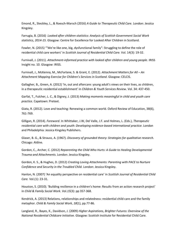Emond, R., Steckley, L., & Roesch-Marsch (2016) *A Guide to Therapeutic Child Care.* London: Jessica Kingsley.

Farrugia, B. (2016) *Looked after children statistics: Analysis of Scottish Government Social Work statistics, 2014-15.* Glasgow: Centre for Excellence for Looked After Children in Scotland.

Fowler, N. (2015) '"We're like one, big, dysfunctional family": Struggling to define the role of residential child care workers' in *Scottish Journal of Residential Child Care.* Vol. 14(3): 19-32.

Furnivall, J. (2011). *Attachment-informed practice with looked after children and young people*. IRISS Insight no. 10. Glasgow: IRISS.

Furnivall, J., McKenna, M., McFarlane, S. & Grant, E. (2012). *Attachment Matters for All – An Attachment Mapping Exercise for Children's Services in Scotland*. Glasgow: CELCIS.

Gallagher, B., Green, A. (2012) 'In, out and aftercare: young adult's views on their lives, as children, in a therapeutic residential establishment' in *Children & Youth Services Review.* Vol. 34: 437-450.

Garfat, T., Fulcher, L. C., & Digney, J. (2013) *Making moments meaningful in child and youth care practice.* Capetown: Pretext.

Giata, R. (2012). Love and teaching: Renewing a common world. Oxford Review of Education, 38(6), 761-769.

Gilligan, R. (2014). *Foreword*. In Whittaker, J.W, Del Valle, J.F. and Holmes, L. (Eds.), *Therapeutic residential care with children and youth: Developing evidence-based international practice*. London and Philadelphia: Jessica Kingsley Publishers.

Glaser, B. G., & Strauss, A. (1967). *Discovery of grounded theory: Strategies for qualitative research.* Chicago: Aldine.

Gordon, C., Archer, C. (2012) *Reparenting the Child Who Hurts: A Guide to Healing Developmental Trauma and Attachments.* London: Jessica Kingsley.

Gordon, K. S., & Hughes, D. (2012) *Creating Loving Attachments: Parenting with PACE to Nurture Confidence and Security in the Troubled Child.* London: Jessica Kingsley.

Hanlon, N. (2007) 'An equality perspective on residential care' in *Scottish Journal of Residential Child Care.* Vol.(1): 23-31.

Houston, S. (2010). 'Building resilience in a children's home: Results from an action research project' in *Child & Family Social Work*. Vol.*15*(3): pp 357-368.

Kendrick, A. (2013) Relations, relationships and relatedness: residential child care and the family metaphor. *Child & Family Social Work*, *18*(1), pp.77-86.

Langland, R., Bayes, K., Davidson, J. (2009) *Higher Aspirations, Brighter Futures: Overview of the National Residential Childcare Initiative.* Glasgow: Scottish Institute for Residential Child Care.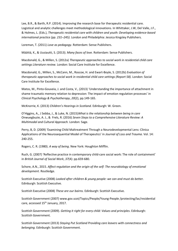Lee, B.R., & Barth, R.P. (2014). Improving the research base for therapeutic residential care. Logistical and analytic challenges meet methodological innovations. In Whittaker, J.W, Del Valle, J.F., & Holmes, L. (Eds.), *Therapeutic residential care with children and youth: Developing evidence-based international practice (pp. 231–245).* London and Philadelphia: Jessica Kingsley Publishers.

Loreman, T. (2011) *Love as pedagogy*. Rotterdam: Sense Publishers.

Määttä, K., & Uusiautti, S. (2013). *Many faces of love.* Rotterdam: Sense Publishers.

Macdonald, G., & Millen, S. (2012a) *Therapeutic approaches to social work in residential child care settings Literature review.* London: Social Care Institute for Excellence.

Macdonald, G., Millen, S., McCann, M., Roscoe, H. and Ewart-Boyle, S. (2012b) *[Evaluation of](http://www.scie.org.uk/publications/reports/report58/index.asp)  [therapeutic approaches to social work in residential child care settings \(Report 58\).](http://www.scie.org.uk/publications/reports/report58/index.asp)* London: Social Care Institute for Excellence.

Matos, M., Pinto‐Gouveia, J. and Costa, V., (2013) 'Understanding the importance of attachment in shame traumatic memory relation to depression: The impact of emotion regulation processes' in *Clinical Psychology & Psychotherapy*, *20*(2), pp.149-165.

McKnorrie, K. (2013) *Children's Hearings in Scotland.* Edinburgh: W. Green.

O'Higgins, A., J Sebba, J., & Luke, N. (2015)*What is the relationship between being in care* Onwuegbuzie, A. J., & Frels, R. (2016) *Seven Steps to a Comprehensive Literature Review: A Multimodal and Cultural Approach.* London: Sage.

Perry, B, D. (2009) 'Examining Child Maltreatment Through a Neurodevelopmental Lens: Clinica Applications of the Neurosequential Model of Therapeutics' in *Journal of Loss and Trauma.* Vol. 14: 240-255.

Rogers, C. R. (1980). *A way of being*. New York: Houghton Mifflin.

Ruch, G. (2007) 'Reflective practice in contemporary child-care social work: The role of containment' in *British Journal of Social Work*, *37*(4): pp.659-680.

Schore, A.N., 2015. *Affect regulation and the origin of the self: The neurobiology of emotional development*. Routledge.

Scottish Executive (2008) *Looked after children & young people: we can and must do better.*  Edinburgh: Scottish Executive.

Scottish Executive (2008) *These are our bairns.* Edinburgh: Scottish Executive.

Scottish Government (2007) www.gov.scot/Topics/People/Young-People /protecting/lac/residential care, accessed 15<sup>th</sup> January, 2017.

Scottish Government (2009). *Getting it right for every child: Values and principles*. Edinburgh: Scottish Government.

Scottish Government (2013) *Staying Put Scotland Providing care leavers with connectness and belonging.* Edinburgh: Scottish Government.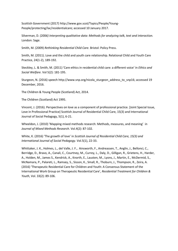Scottish Government (2017) [http://www.gov.scot/Topics/People/Young-](http://www.gov.scot/Topics/People/Young-People/protecting/lac/residentialcare)[People/protecting/lac/residentialcare;](http://www.gov.scot/Topics/People/Young-People/protecting/lac/residentialcare) accessed 10 January 2017.

Silverman, D. (200*6) Interpreting qualitative data: Methods for analyzing talk, text and interaction.* London: Sage.

Smith, M. (2009) *Rethinking Residential Child Care.* Bristol: Policy Press.

Smith, M. (2011). Love and the child and youth care relationship. Relational Child and Youth Care Practice, 24(1-2), 189-192.

Steckley, L. & Smith, M. (2011) 'Care ethics in residential child care: a different voice' in *Ethics and Social Welfare*. Vol 5(2): 181-195.

Sturgeon, N. (2016) speec[h http://www.snp.org/nicola\\_sturgeon\\_address\\_to\\_snp16;](http://www.snp.org/nicola_sturgeon_address_to_snp16) accessed 19 December, 2016.

The Children & Young People (Scotland) Act, 2014.

The Children (Scotland) Act 1995.

Vincent, J. (2016). Perspectives on love as a component of professional practice. [Joint Special Issue, Love in Professional Practice] Scottish Journal of Residential Child Care, 15(3) and International Journal of Social Pedagogy, 5(1), 6-21.

Wheeldon, J. (2010) 'Mapping mixed methods research: Methods, measures, and meaning' in *Journal of Mixed Methods Research*. Vol.4(2): 87-102.

White, K. (2016) 'The growth of love' in *Scottish Journal of Residential Child Care, 15(3) and International Journal of Social Pedagogy*. Vol.5(1), 22-33.

Whittaker, J. K., Holmes, L., del Valle, J. F., Ainsworth, F., Andreassen, T., Anglin, J., Bellonci, C., Berridge, D., Bravo, A., Canali, C., Courtney, M., Currey, L., Daly, D., Gilligan, R., Grietens, H., Harder, A., Holden, M., James S., Kendrick, A., Knorth, E., Lausten, M., Lyons, J., Martin, E., McDermid, S., McNamara, P., Palareti, L., Ramsey, S., Sisson, K., Small, R., Thoburn, J., Thompson, R., Zeira, A. (2016) 'Therapeutic Residential Care for Children and Youth: A Consensus Statement of the International Work Group on Therapeutic Residential Care', *Residential Treatment for Children & Youth*, Vol. 33(2): 89-106.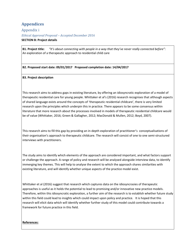# <span id="page-36-0"></span>**Appendices**

<span id="page-36-1"></span>Appendix i *Ethical Approval Proposal – Accepted December 2016* **SECTION B: Project details**

**B1. Project title:** *"It's about connecting with people in a way that they've never really connected before":* An exploration of a therapeutic approach to residential child care

## **B2. Proposed start date: 09/01/2017 Proposed completion date: 14/04/2017**

### **B3. Project description**

This research aims to address gaps in existing literature, by offering an idiosyncratic exploration of a model of therapeutic residential care for young people. Whittaker et al's (2016) research recognises that although aspects of shared language exists around the concepts of 'therapeutic residential childcare', there is very limited research upon the principles which underpin this in practice. There appears to be some consensus within literature that more research about the processes involved in models of therapeutic residential childcare would be of value (Whittaker, 2016; Green & Gallagher, 2012; MacDonald & Mullen, 2012; Boyd, 2007).

This research aims to fill this gap by providing an in-depth exploration of practitioner's conceptualisations of their organisation's approach to therapeutic childcare. The research will consist of one to one semi-structured interviews with practitioners.

The study aims to identify which elements of the approach are considered important, and what factors support or challenge the approach. A range of policy and research will be analysed alongside interview data, to identify immerging key themes. This will help to analyse the extent to which the approach shares similarities with existing literature, and will identify whether unique aspects of the practice model exist.

Whittaker et al (2016) suggest that research which captures data on the idiosyncrasies of therapeutic approaches is useful as it holds the potential to lead to promising and/or innovative new practice models. Therefore, within this idiosyncratic exploration, a further aim of the research is to establish whether future study within this field could lead to insights which could impact upon policy and practice. It is hoped that this research will elicit data which will identify whether further study of this model could contribute towards a framework for future practice in this field.

### **References:**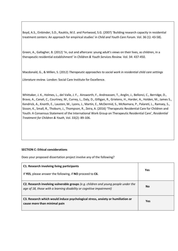Boyd, A.S., Einbinder, S.D., Rauktis, M.E. and Portwood, S.G. (2007) 'Building research capacity in residential treatment centers: An approach for empirical studies' in *Child and Youth Care Forum*. Vol. 36 (1): 43-58).

Green, A., Gallagher, B. (2012) 'In, out and aftercare: young adult's views on their lives, as children, in a therapeutic residential establishment' in *Children & Youth Services Review.* Vol. 34: 437-450.

Macdonald, G., & Millen, S. (2012) *Therapeutic approaches to social work in residential child care settings* 

*Literature review.* London: Social Care Institute for Excellence.

Whittaker, J. K., Holmes, L., del Valle, J. F., Ainsworth, F., Andreassen, T., Anglin, J., Bellonci, C., Berridge, D., Bravo, A., Canali, C., Courtney, M., Currey, L., Daly, D., Gilligan, R., Grietens, H., Harder, A., Holden, M., James S., Kendrick, A., Knorth, E., Lausten, M., Lyons, J., Martin, E., McDermid, S., McNamara, P., Palareti, L., Ramsey, S., Sisson, K., Small, R., Thoburn, J., Thompson, R., Zeira, A. (2016) 'Therapeutic Residential Care for Children and Youth: A Consensus Statement of the International Work Group on Therapeutic Residential Care', *Residential Treatment for Children & Youth*, Vol. 33(2): 89-106.

## **SECTION C: Ethical considerations**

Does your proposed dissertation project involve any of the following?

| C1. Research involving living participants<br>If YES, please answer the following, if NO proceed to C6.                                                    | Yes       |
|------------------------------------------------------------------------------------------------------------------------------------------------------------|-----------|
| C2. Research involving vulnerable groups (e.g. children and young people under the<br>age of 18, those with a learning disability or cognitive impairment) | <b>No</b> |
| C3. Research which would induce psychological stress, anxiety or humiliation or<br>cause more than minimal pain                                            | Yes       |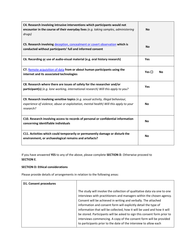| C4. Research involving intrusive interventions which participants would not<br>encounter in the course of their everyday lives (e.g. taking samples, administering<br>drugs)            | <b>No</b>                  |
|-----------------------------------------------------------------------------------------------------------------------------------------------------------------------------------------|----------------------------|
| C5. Research involving deception, concealment or covert observation which is<br>conducted without participants' full and informed consent                                               | <b>No</b>                  |
| C6. Recording or use of audio-visual material (e.g. oral history research)                                                                                                              | <b>Yes</b>                 |
| C7. Remote acquisition of data from or about human participants using the<br>internet and its associated technologies                                                                   | Yes $\square$<br><b>No</b> |
| C8. Research where there are issues of safety for the researcher and/or<br>participant(s) (e.g. lone working, international research) Will this apply to you?                           | <b>Yes</b>                 |
| C9. Research involving sensitive topics (e.g. sexual activity, illegal behaviour,<br>experience of violence, abuse or exploitation, mental health) Will this apply to your<br>research? | <b>No</b>                  |
| C10. Research involving access to records of personal or confidential information<br>concerning identifiable individuals                                                                | <b>No</b>                  |
| C11. Activities which could temporarily or permanently damage or disturb the<br>environment, or archaeological remains and artefacts?                                                   | <b>No</b>                  |

If you have answered **YES** to any of the above, please complete **SECTION D**. Otherwise proceed to **SECTION E**.

## **SECTION D: Ethical considerations**

Please provide details of arrangements in relation to the following areas:

| <b>D1. Consent procedures</b> |                                                                                                                                                                                                                                                                                                                                                                                                                                                                                                                                                                                        |
|-------------------------------|----------------------------------------------------------------------------------------------------------------------------------------------------------------------------------------------------------------------------------------------------------------------------------------------------------------------------------------------------------------------------------------------------------------------------------------------------------------------------------------------------------------------------------------------------------------------------------------|
|                               | The study will involve the collection of qualitative data via one to one<br>interviews with practitioners and managers within the chosen agency.<br>Consent will be achieved in writing and verbally. The attached<br>information and consent form will explicitly detail the type of<br>information that will be collected, how it will be used and how it will<br>be stored. Participants will be asked to sign this consent form prior to<br>interviews commencing. A copy of the consent form will be provided<br>to participants prior to the date of the interview to allow each |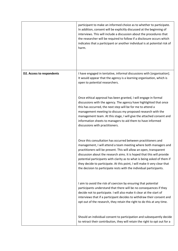|                           | participant to make an informed choice as to whether to participate.<br>In addition, consent will be explicitly discussed at the beginning of<br>interviews. This will include a discussion about the procedures that<br>the researcher will be required to follow if a disclosure occurs which<br>indicates that a participant or another individual is at potential risk of<br>harm.                                                                                                                             |
|---------------------------|--------------------------------------------------------------------------------------------------------------------------------------------------------------------------------------------------------------------------------------------------------------------------------------------------------------------------------------------------------------------------------------------------------------------------------------------------------------------------------------------------------------------|
| D2. Access to respondents | I have engaged in tentative, informal discussions with [organisation].<br>It would appear that the agency is a learning organisation, which is<br>open to potential researchers.                                                                                                                                                                                                                                                                                                                                   |
|                           | Once ethical approval has been granted, I will engage in formal<br>discussions with the agency. The agency have highlighted that once<br>this has occurred, the next step will be for me to attend a<br>management meeting to discuss my proposed research with the<br>management team. At this stage, I will give the attached consent and<br>information sheets to managers to aid them to have informed<br>discussions with practitioners.                                                                      |
|                           | Once this consultation has occurred between practitioners and<br>management, I will attend a team meeting where both managers and<br>practitioners will be present. This will allow an open, transparent<br>discussion about the research aims. It is hoped that this will provide<br>potential participants with clarity as to what is being asked of them if<br>they decide to participate. At this point, I will make it very clear that<br>the decision to participate rests with the individual participants. |
|                           | I aim to avoid the risk of coercion by ensuring that potential<br>participants understand that there will be no consequences if they<br>decide not to participate. I will also make it clear at the start of<br>interviews that if a participant decides to withdraw their consent and<br>opt out of the research, they retain the right to do this at any time.                                                                                                                                                   |
|                           | Should an individual consent to participation and subsequently decide<br>to retract their contribution, they will retain the right to opt out for a                                                                                                                                                                                                                                                                                                                                                                |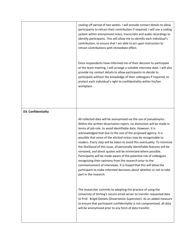|                     | cooling off period of two weeks. I will provide contact details to allow<br>participants to retract their contribution if required. I will use a coding<br>system within anonymised notes, transcripts and audio recordings to<br>identify participants. This will allow me to identify each individual's<br>contribution, to ensure that I am able to act upon instruction to<br>retract contributions with immediate effect.                                                                                                                                                                                                                                                                                                                                                                                                                                                       |
|---------------------|--------------------------------------------------------------------------------------------------------------------------------------------------------------------------------------------------------------------------------------------------------------------------------------------------------------------------------------------------------------------------------------------------------------------------------------------------------------------------------------------------------------------------------------------------------------------------------------------------------------------------------------------------------------------------------------------------------------------------------------------------------------------------------------------------------------------------------------------------------------------------------------|
|                     | Once respondents have informed me of their decision to participate<br>at the team meeting, I will arrange a suitable interview date. I will also<br>provide my contact details to allow participants to decide to<br>participate without the knowledge of their colleagues if required, to<br>protect each individual's right to confidentiality within his/her<br>workplace.                                                                                                                                                                                                                                                                                                                                                                                                                                                                                                        |
| D3. Confidentiality |                                                                                                                                                                                                                                                                                                                                                                                                                                                                                                                                                                                                                                                                                                                                                                                                                                                                                      |
|                     | All collected data will be anonymized via the use of pseudonyms.<br>Within the written dissertation report, no distinction will be made in<br>terms of job role, to avoid identifiable data. However, it is<br>acknowledged that due to the size of the proposed agency, it is<br>possible that some of the elicited voices may be recognizable to<br>readers. Every step will be taken to avoid this eventuality. To minimize<br>the likelihood of this issue, all personally identifiable features will be<br>removed, and direct quotes will be minimized where possible.<br>Participants will be made aware of the potential risk of colleagues<br>recognizing their opinions from the research prior to the<br>commencement of interviews. It is hoped that this will allow the<br>participant to make informed decisions about whether or not to take<br>part in the research. |
|                     | The researcher commits to adopting the practice of using the<br>University of Stirling's secure email server to transfer requested data<br>to Prof. Brigid Daniels (Dissertation Supervisor). As an added measure<br>to ensure that participant confidentiality is not compromised, all data<br>will be anonymized prior to any form of data transfer.                                                                                                                                                                                                                                                                                                                                                                                                                                                                                                                               |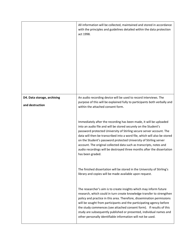|                                                | All information will be collected, maintained and stored in accordance<br>with the principles and guidelines detailed within the data protection<br>act 1998.                                                                                                                                                                                                                                                                                                                                                                        |
|------------------------------------------------|--------------------------------------------------------------------------------------------------------------------------------------------------------------------------------------------------------------------------------------------------------------------------------------------------------------------------------------------------------------------------------------------------------------------------------------------------------------------------------------------------------------------------------------|
|                                                |                                                                                                                                                                                                                                                                                                                                                                                                                                                                                                                                      |
| D4. Data storage, archiving<br>and destruction | An audio recording device will be used to record interviews. The<br>purpose of this will be explained fully to participants both verbally and<br>within the attached consent form.                                                                                                                                                                                                                                                                                                                                                   |
|                                                | Immediately after the recording has been made, it will be uploaded<br>into an audio file and will be stored securely on the Student's<br>password protected University of Stirling secure server account. The<br>data will then be transcribed into a word file, which will also be stored<br>on the Student's password protected University of Stirling server<br>account. The original collected data such as transcripts, notes and<br>audio recordings will be destroyed three months after the dissertation<br>has been graded. |
|                                                | The finished dissertation will be stored in the University of Stirling's<br>library and copies will be made available upon request.                                                                                                                                                                                                                                                                                                                                                                                                  |
|                                                | The researcher's aim is to create insights which may inform future<br>research, which could in turn create knowledge transfer to strengthen<br>policy and practice in this area. Therefore, dissemination permissions<br>will be sought from participants and the participating agency before<br>the study commences (see attached consent form). If results of this<br>study are subsequently published or presented, individual names and<br>other personally identifiable information will not be used.                           |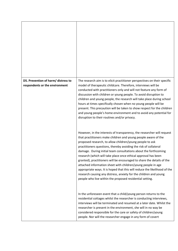| D5. Prevention of harm/ distress to<br>respondents or the environment | The research aim is to elicit practitioner perspectives on their specific<br>model of therapeutic childcare. Therefore, interviews will be<br>conducted with practitioners only and will not feature any form of<br>discussion with children or young people. To avoid disruption to<br>children and young people, the research will take place during school<br>hours at times specifically chosen when no young people will be<br>present. This precaution will be taken to show respect for the children<br>and young people's home environment and to avoid any potential for<br>disruption to their routines and/or privacy.                                                                                                                                     |
|-----------------------------------------------------------------------|-----------------------------------------------------------------------------------------------------------------------------------------------------------------------------------------------------------------------------------------------------------------------------------------------------------------------------------------------------------------------------------------------------------------------------------------------------------------------------------------------------------------------------------------------------------------------------------------------------------------------------------------------------------------------------------------------------------------------------------------------------------------------|
|                                                                       | However, in the interests of transparency, the researcher will request<br>that practitioners make children and young people aware of the<br>proposed research, to allow children/young people to ask<br>practitioners questions, thereby avoiding the risk of collateral<br>damage. During initial team consultations about the forthcoming<br>research (which will take place once ethical approval has been<br>granted), practitioners will be encouraged to share the details of the<br>attached information sheet with children/young people in age<br>appropriate ways. It is hoped that this will reduce the likelihood of the<br>research causing any distress, anxiety for the children and young<br>people who live within the proposed residential setting. |
|                                                                       | In the unforeseen event that a child/young person returns to the<br>residential cottages whilst the researcher is conducting interviews,<br>interviews will be terminated and resumed at a later date. Whilst the<br>researcher is present in the environment, she will in no way be<br>considered responsible for the care or safety of children/young<br>people. Nor will the researcher engage in any form of covert                                                                                                                                                                                                                                                                                                                                               |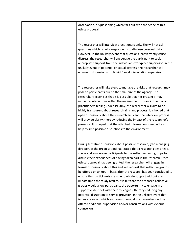observation, or questioning which falls out-with the scope of this ethics proposal.

The researcher will interview practitioners only. She will not ask questions which require respondents to disclose personal data. However, in the unlikely event that questions inadvertently cause distress, the researcher will encourage the participant to seek appropriate support from the individual's workplace supervisor. In the unlikely event of potential or actual distress, the researcher will engage in discussion with Brigid Daniel, dissertation supervisor.

The researcher will take steps to manage the risks that research may pose to participants due to the small size of the agency. The researcher recognises that it is possible that her presence may influence interactions within the environment. To avoid the risk of practitioners feeling under scrutiny, the researcher will aim to be highly transparent about research aims and process. It is hoped that open discussions about the research aims and the interview process will provide clarity, thereby reducing the impact of the researcher's presence. It is hoped that the attached information sheet will also help to limit possible disruptions to the environment.

During tentative discussions about possible research, [the managing director, of the organisation] has stated that if research goes ahead, she would encourage participants to use reflective team groups to discuss their experiences of having taken part in the research. Once ethical approval has been granted, the researcher will engage in formal discussions about this and will request that reflective groups be offered on an opt-in basis after the research has been concluded to ensure that participants are able to obtain support without any impact upon the study results. It is felt that the proposed reflective groups would allow participants the opportunity to engage in a supportive de-brief with their colleagues, thereby reducing any potential disruption to service provision. In the unlikely event that issues are raised which evoke emotions, all staff members will be offered additional supervision and/or consultations with external counsellors.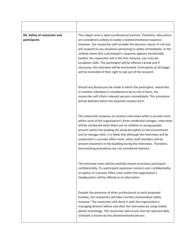| D6. Safety of researcher and<br>participants | The subject area is about professional practice. Therefore, discussions<br>are considered unlikely to evoke a heated emotional response.<br>However, the researcher will consider the dynamic nature of risk and<br>will respond to any situations pertaining to safety immediately. In the<br>unlikely event that a participant's response appears emotionally<br>fuelled, the researcher will in the first instance, use crisis de-<br>escalation skills. The participant will be offered a break and if<br>necessary, the interview will be terminated. Participants at all stages<br>will be reminded of their right to opt out of the research. |
|----------------------------------------------|------------------------------------------------------------------------------------------------------------------------------------------------------------------------------------------------------------------------------------------------------------------------------------------------------------------------------------------------------------------------------------------------------------------------------------------------------------------------------------------------------------------------------------------------------------------------------------------------------------------------------------------------------|
|                                              | Should any disclosures be made in which the participant, researcher,<br>or another individual is considered to be at risk of harm, the<br>researcher will inform relevant persons immediately. This procedure<br>will be detailed within the attached consent form.                                                                                                                                                                                                                                                                                                                                                                                  |
|                                              | The researcher proposes to conduct interviews within a private room<br>within each of the organisation's three residential cottages. Interviews<br>will be conducted when there are no children or young people<br>present within the building (to avoid disruption to the environment<br>and to manage risks). It is likely that although the interviews will be<br>conducted in a private office room, other staff members will be<br>present elsewhere in the building during the interviews. Therefore,<br>lone working procedures are not considered relevant.                                                                                  |
|                                              | The interview room will be carefully chosen to protect participant<br>confidentiality. If a participant expresses concern over confidentiality,<br>an option of a private office room within the organisation's<br>headquarters will be offered as an alternative.                                                                                                                                                                                                                                                                                                                                                                                   |
|                                              | Despite the presence of other professionals at each proposed<br>location, the researcher will take a further preventative safety<br>measure. The researcher will check in with the organisation's<br>managing director before and after the interviews by using mobile<br>phone technology. The researcher will ensure that her planned daily<br>schedule is known by the aforementioned person.                                                                                                                                                                                                                                                     |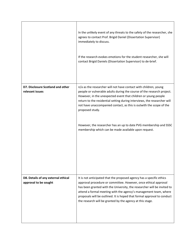|                                                              | In the unlikely event of any threats to the safety of the researcher, she<br>agrees to contact Prof. Brigid Daniel (Dissertation Supervisor)<br>immediately to discuss.<br>If the research evokes emotions for the student researcher, she will<br>contact Brigid Daniels (Dissertation Supervisor) to de-brief.                                                                                                                                                                                                |
|--------------------------------------------------------------|-----------------------------------------------------------------------------------------------------------------------------------------------------------------------------------------------------------------------------------------------------------------------------------------------------------------------------------------------------------------------------------------------------------------------------------------------------------------------------------------------------------------|
| D7. Disclosure Scotland and other<br>relevant issues         | n/a as the researcher will not have contact with children, young<br>people or vulnerable adults during the course of the research project.<br>However, in the unexpected event that children or young people<br>return to the residential setting during interviews, the researcher will<br>not have unaccompanied contact, as this is outwith the scope of the<br>proposed study.<br>However, the researcher has an up to date PVG membership and SSSC<br>membership which can be made available upon request. |
| D8. Details of any external ethical<br>approval to be sought | It is not anticipated that the proposed agency has a specific ethics<br>approval procedure or committee. However, once ethical approval<br>has been granted with the University, the researcher will be invited to<br>attend a formal meeting with the agency's management team, where<br>proposals will be outlined. It is hoped that formal approval to conduct<br>the research will be granted by the agency at this stage.                                                                                  |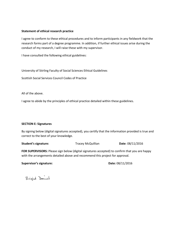### **Statement of ethical research practice**

I agree to conform to these ethical procedures and to inform participants in any fieldwork that the research forms part of a degree programme. In addition, if further ethical issues arise during the conduct of my research, I will raise these with my supervisor.

I have consulted the following ethical guidelines:

University of Stirling Faculty of Social Sciences Ethical Guidelines

Scottish Social Services Council Codes of Practice

All of the above.

I agree to abide by the principles of ethical practice detailed within these guidelines.

#### **SECTION E: Signatures**

By signing below (digital signatures accepted), you certify that the information provided is true and correct to the best of your knowledge.

**Student's signature:** Tracey McQuillian **Date**: 08/11/2016

**FOR SUPERVISORS:** Please sign below (digital signatures accepted) to confirm that you are happy with the arrangements detailed above and recommend this project for approval.

**Supervisor's signature: Date:** 08/11/2016

Brigid Daniel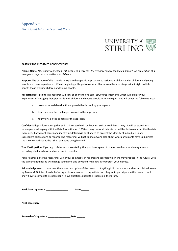

#### <span id="page-47-0"></span>**PARTICIPANT INFORMED CONSENT FORM**

**Project Name:** *"It's about connecting with people in a way that they've never really connected before": An exploration of a therapeutic approach to residential child care.*

**Purpose:** The purpose of this study is to explore therapeutic approaches to residential childcare with children and young people who have experienced difficult beginnings. I hope to use what I learn from the study to provide insights which benefit those working children and young people.

**Research Description:** This research will consist of one to one semi-structured interviews which will explore your experiences of engaging therapeutically with children and young people. Interview questions will cover the following areas:

- a. How you would describe the approach that is used by your agency
- b. Your views on the challenges involved in the approach
- c. Your views on the benefits of the approach

**Confidentiality:** Information gathered in this research will be kept in a strictly confidential way. It will be stored in a secure place in keeping with the Data Protection Act 1998 and any personal data stored will be destroyed after the thesis is examined. Participant names and identifying details will be changed to protect the identity of individuals in any subsequent publications or reports. The researcher will not talk to anyone else about what participants have said, unless she is concerned about the risk of someone being harmed.

**Your Participation:** If you sign this form you are stating that you have agreed to the researcher interviewing you and recording what you have said on an audio recorder.

You are agreeing to the researcher using your comments in reports and journals which she may produce in the future, with the agreement that she will change your name and any identifying details to protect your identity.

**Acknowledgement:** I have read the above description of the research. Anything I did not understand was explained to me by Tracey McQuillian. I had all of my questions answered to my satisfaction. I agree to participate in this research and I know how to contact the researcher if I have questions about the research in the future.

| <b>Participant Signature:</b> | Date: |
|-------------------------------|-------|
|-------------------------------|-------|

| Print name here: |  |
|------------------|--|
|------------------|--|

**Researcher's Signature:\_\_\_\_\_\_\_\_\_\_\_\_\_\_\_\_\_ Date:\_\_\_\_\_\_**